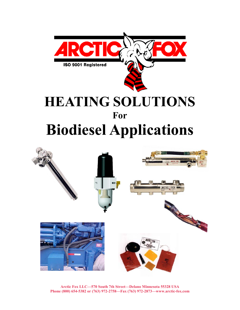



**Arctic Fox LLC—570 South 7th Street—Delano Minnesota 55328 USA Phone (800) 654-5382 or (763) 972-2758—Fax (763) 972-2873—www.arctic-fox.com**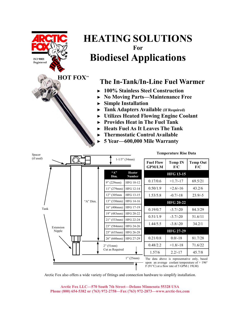

Arctic Fox also offers a wide variety of fittings and connection hardware to simplify installation.

12" (305mm HFG 13-15 13" (330mm) HFG 14-16 16" (406mm) HFG 17-19 19" (483mm) HFG 20-22 21" (533mm) HFG 22-24 23" (584mm) HFG 24-26 25" (635mm) HFG 26-28 26" (660mm) HFG 27-29

1.53/5.8 -0.7/-18 23.9/-5 **HFG 20-22**   $0.19/0.7$  -3.7/-20 84.3/29  $0.51/1.9$   $-3.7/-20$   $51.6/11$  $1.44/5.5$   $-3.8/-20$   $34.2/1$ 

0.21/0.8 0.0/-18 81.7/28  $0.48/2.2$  +1.8/-18 71.6/22 1.57/6 2.2/-17 45.7/8

The data above is representative only, based upon an average coolant temperature of + 196° F (91°C) at a flow rate of 5 GPM ( 19LM)

**HFG 27-29** 

1" (25mm)

2" (51mm) Cut as Required

Extension Nipple

Tank

"A" Dim.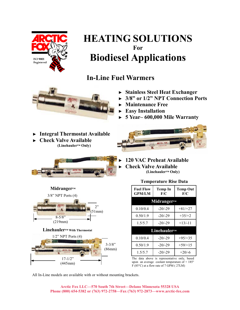

### **In-Line Fuel Warmers**



- ► **Stainless Steel Heat Exchanger**
- ► **3/8" or 1/2" NPT Connection Ports**
- ► **Maintenance Free**
- ► **Easy Installation**
- ► **5 Year– 600,000 Mile Warranty**
- ► **Integral Thermostat Available**
- ► **Check Valve Available (Linehauler™ Only)**





#### ► **120 VAC Preheat Available**  ► **Check Valve Available (Linehauler™ Only)**

#### **Temperature Rise Data**



| <b>Fuel Flow</b><br><b>GPM/LM</b> | Temp In<br>F/C | <b>Temp Out</b><br>F/C |  |  |  |
|-----------------------------------|----------------|------------------------|--|--|--|
| Midranger™                        |                |                        |  |  |  |
| 0.10/0.4                          | $-20/-29$      | $+81/+27$              |  |  |  |
| 0.50/1.9                          | $-20/-29$      | $+35/+2$               |  |  |  |
| 1.5/5.7                           | $-20/-29$      | $+13/-11$              |  |  |  |
| Linehauler™                       |                |                        |  |  |  |
| 0.10/0.4                          | $-20/-29$      | $+95/+35$              |  |  |  |
| 0.50/1.9                          | $-20/-29$      | $+59/+15$              |  |  |  |
| 1.5/5.7                           | $-20/-29$      | $+20/ -6$              |  |  |  |

The data above is representative only, based upon an average coolant temperature of  $+185^\circ$ F (85°C) at a flow rate of 7 GPM ( 27LM)

All In-Line models are available with or without mounting brackets.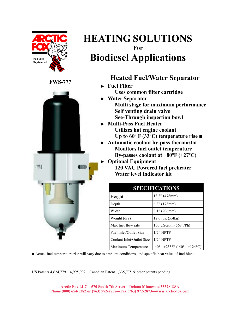

### **Heated Fuel/Water Separator**

- ► **Fuel Filter Uses common filter cartridge**
- ► **Water Separator Multi stage for maximum performance Self venting drain valve See-Through inspection bowl**
- ► **Multi-Pass Fuel Heater Utilizes hot engine coolant Up to 60º F (33ºC) temperature rise ■**
- ► **Automatic coolant by-pass thermostat Monitors fuel outlet temperature By-passes coolant at +80ºF (+27ºC)**
- ► **Optional Equipment**

**120 VAC Powered fuel preheater Water level indicator kit** 

| <b>SPECIFICATIONS</b>       |                                        |  |  |
|-----------------------------|----------------------------------------|--|--|
| Height                      | 18.8" (478mm)                          |  |  |
| Depth                       | $6.8$ " (173mm)                        |  |  |
| Width                       | $8.1$ " (206mm)                        |  |  |
| Weight (dry)                | 12.0 lbs. (5.4kg)                      |  |  |
| Max fuel flow rate          | 150 USG/Ph (568 l/Ph)                  |  |  |
| Fuel Inlet/Outlet Size      | $1/2$ " NPTF                           |  |  |
| Coolant Inlet/Outlet Size   | $1/2$ " NPTF                           |  |  |
| <b>Maximum Temperatures</b> | $-40^{\circ}$ - +255°F (-40° - +124°C) |  |  |

■ Actual fuel temperature rise will vary due to ambient conditions, and specific heat value of fuel blend.

US Patents 4,624,779—4,995,992—Canadian Patent 1,335,775 & other patents pending

#### **FWS-777**

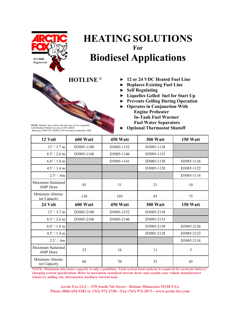

**NOTE:** Hotline® has a nitrile tube that may not be compatible with Biodiesel blends in excess of 20% (B20). Reference-DOE/GO-102006-2358 3rd edition September 2006

## **HEATING SOLUTIONS For Biodiesel Applications**

- **HOTLINE** ® ► **12 or 24 VDC Heated Fuel Line**
	- ► **Replaces Existing Fuel Line**
	- ► **Self Regulating**
	- ► **Liquefies Gelled fuel for Start Up**
	- ► **Prevents Gelling During Operation**
	- ► **Operates in Conjunction With Engine Preheater In-Tank Fuel Warmer Fuel Water Separators**
	- ► **Optional Thermostat Shutoff**

| 12 Volt                              | 600 Watt   | 450 Watt   | 300 Watt        | 150 Watt   |
|--------------------------------------|------------|------------|-----------------|------------|
| $12' / 3.7$ m                        | D3085-1180 | D3085-1152 | D3085-1138      |            |
| $8.5' / 2.6$ m                       | D3085-1168 | D3085-1146 | D3085-1133      |            |
| $6.0' / 1.8$ m                       |            | D3085-1141 | D3085-1130      | D3085-1126 |
| 4.5' / 1.4 m                         |            |            | D3085-1128      | D3085-1122 |
| 2.5' / .6m                           |            |            |                 | D3085-1118 |
| Maximum Sustained<br><b>AMP</b> Draw | 45         | 31         | 21              | 10         |
| Minimum Alterna-<br>tor Capacity     | 130        | 105        | 85              | 75         |
|                                      |            |            |                 |            |
| 24 Volt                              | 600 Watt   | 450 Watt   | <b>300 Watt</b> | 150 Watt   |
| 12' / 3.7 m                          | D3085-2180 | D3085-2152 | D3085-2138      |            |
| $8.5' / 2.6$ m                       | D3085-2168 | D3085-2146 | D3085-2133      |            |
| $6.0' / 1.8$ m                       |            |            | D3085-2130      | D3085-2126 |
| 4.5' / 1.4 m                         |            |            | D3085-2128      | D3085-2122 |
| 2.5' / .6m                           |            |            |                 | D3085-2118 |
| Maximum Sustained<br><b>AMP</b> Draw | 23         | 16         | 11              | 5          |

**NOTE: Minimum alternator capacity is only a guideline. Total system load analysis is required for accurate battery/ charging system specification. Refer to maximum sustained current draw and consult your vehicle manufacturer whenever adding any aftermarket auxiliary current load.**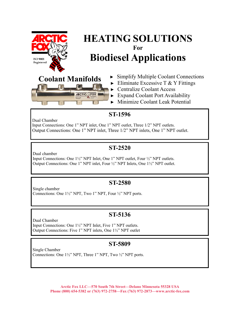



- $\triangleright$  Eliminate Excessive T & Y Fittings
- ► Centralize Coolant Access
- ► Expand Coolant Port Availability
- ► Minimize Coolant Leak Potential

#### **ST-1596**

Dual Chamber

Input Connections: One 1" NPT inlet, One 1" NPT outlet, Three 1/2" NPT outlets. Output Connections: One 1" NPT inlet, Three 1/2" NPT inlets, One 1" NPT outlet.

#### **ST-2520**

Dual chamber Input Connections: One 1½" NPT Inlet, One 1" NPT outlet, Four ½" NPT outlets. Output Connections: One 1" NPT inlet, Four ½" NPT Inlets, One 1½" NPT outlet.

#### **ST-2580**

Single chamber Connections: One 1½" NPT, Two 1" NPT, Four ½" NPT ports.

### **ST-5136**

Dual Chamber Input Connections: One 1½" NPT Inlet, Five 1" NPT outlets. Output Connections: Five 1" NPT inlets, One 1½" NPT outlet

#### **ST-5809**

Single Chamber Connections: One 1½" NPT, Three 1" NPT, Two ½" NPT ports.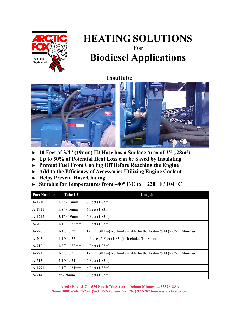

#### **Insultube**



- ► **10 Feet of 3/4" (19mm) ID Hose has a Surface Area of 3'² (.28m²)**
- ► **Up to 50% of Potential Heat Loss can be Saved by Insulating**
- ► **Prevent Fuel From Cooling Off Before Reaching the Engine**
- ► **Add to the Efficiency of Accessories Utilizing Engine Coolant**
- ► **Helps Prevent Hose Chafing**
- ► **Suitable for Temperatures from –40° F/C to + 220° F / 104° C**

| <b>Part Number</b> | <b>Tube ID</b>   | Length                                                          |
|--------------------|------------------|-----------------------------------------------------------------|
| A-1710             | $1/2$ " / 13mm   | 6 Feet (1.83m)                                                  |
| A-1711             | $5/8$ " / 16mm   | 6 Feet (1.83m)                                                  |
| A-1712             | $3/4$ " / 19mm   | 6 Feet (1.83m)                                                  |
| $A-706$            | $1-1/8$ " / 32mm | 6 Feet (1.83m)                                                  |
| $A-720$            | $1-1/8$ " / 32mm | 125 Ft (38.1m) Roll—Available by the foot—25 Ft (7.62m) Minimum |
| $A-705$            | $1-1/8$ " / 32mm | 4 Pieces 6 Feet (1.83m) - Includes Tie Straps                   |
| A-712              | $1-3/8$ " / 35mm | 6 Feet (1.83m)                                                  |
| $A-721$            | $1-3/8$ " / 35mm | 125 Ft (38.1m) Roll—Available by the foot—25 Ft (7.62m) Minimum |
| A-713              | $2-1/8$ " / 54mm | 6 Feet (1.83m)                                                  |
| A-1791             | $2-1/2$ " / 64mm | 6 Feet (1.83m)                                                  |
| $A-714$            | $3''/76$ mm      | 6 Feet (1.83m)                                                  |